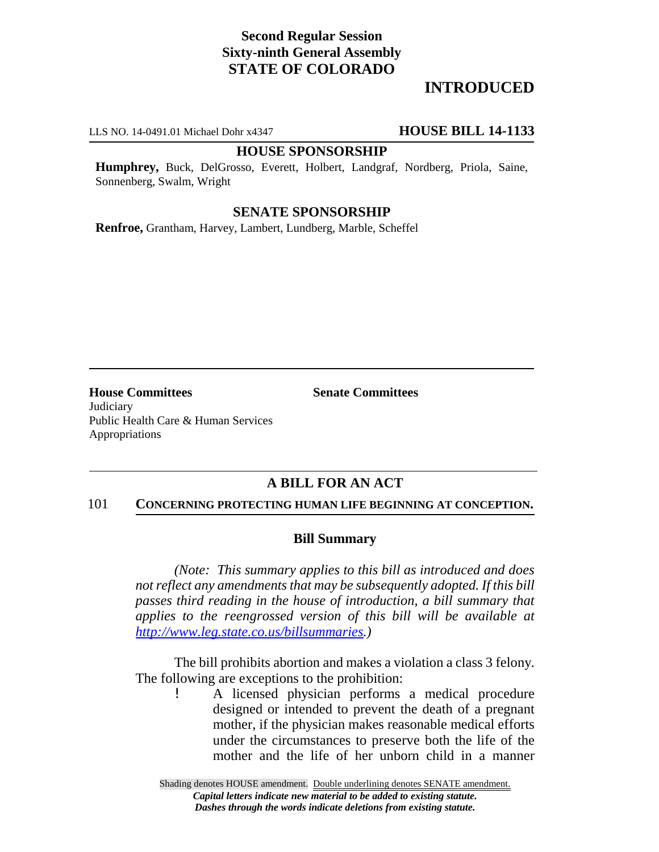# **Second Regular Session Sixty-ninth General Assembly STATE OF COLORADO**

# **INTRODUCED**

LLS NO. 14-0491.01 Michael Dohr x4347 **HOUSE BILL 14-1133**

#### **HOUSE SPONSORSHIP**

**Humphrey,** Buck, DelGrosso, Everett, Holbert, Landgraf, Nordberg, Priola, Saine, Sonnenberg, Swalm, Wright

## **SENATE SPONSORSHIP**

**Renfroe,** Grantham, Harvey, Lambert, Lundberg, Marble, Scheffel

**House Committees Senate Committees** Judiciary Public Health Care & Human Services Appropriations

## **A BILL FOR AN ACT**

### 101 **CONCERNING PROTECTING HUMAN LIFE BEGINNING AT CONCEPTION.**

#### **Bill Summary**

*(Note: This summary applies to this bill as introduced and does not reflect any amendments that may be subsequently adopted. If this bill passes third reading in the house of introduction, a bill summary that applies to the reengrossed version of this bill will be available at http://www.leg.state.co.us/billsummaries.)*

The bill prohibits abortion and makes a violation a class 3 felony. The following are exceptions to the prohibition:

> ! A licensed physician performs a medical procedure designed or intended to prevent the death of a pregnant mother, if the physician makes reasonable medical efforts under the circumstances to preserve both the life of the mother and the life of her unborn child in a manner

Shading denotes HOUSE amendment. Double underlining denotes SENATE amendment. *Capital letters indicate new material to be added to existing statute. Dashes through the words indicate deletions from existing statute.*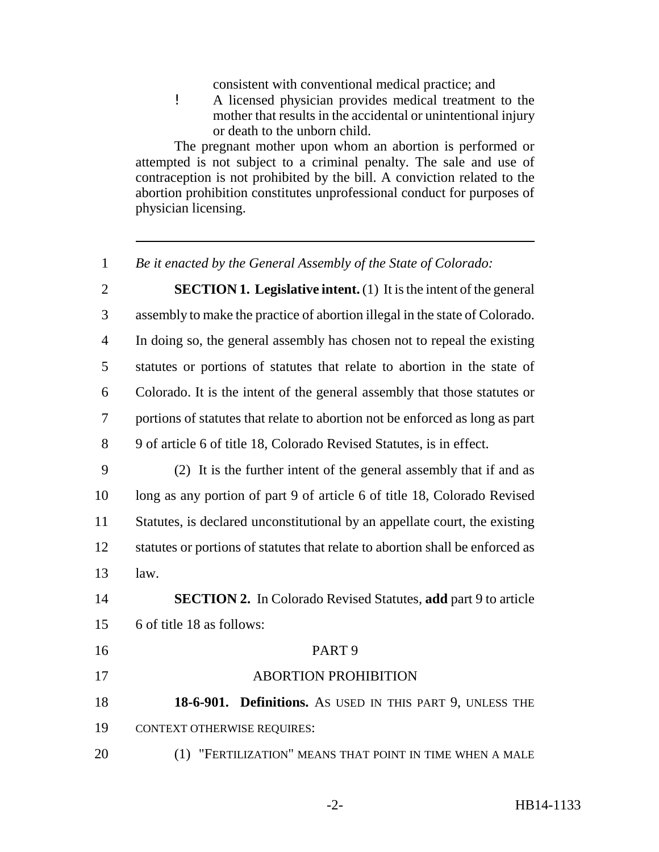consistent with conventional medical practice; and

! A licensed physician provides medical treatment to the mother that results in the accidental or unintentional injury or death to the unborn child.

The pregnant mother upon whom an abortion is performed or attempted is not subject to a criminal penalty. The sale and use of contraception is not prohibited by the bill. A conviction related to the abortion prohibition constitutes unprofessional conduct for purposes of physician licensing.

*Be it enacted by the General Assembly of the State of Colorado:*

 **SECTION 1. Legislative intent.** (1) It is the intent of the general assembly to make the practice of abortion illegal in the state of Colorado. In doing so, the general assembly has chosen not to repeal the existing statutes or portions of statutes that relate to abortion in the state of Colorado. It is the intent of the general assembly that those statutes or portions of statutes that relate to abortion not be enforced as long as part 9 of article 6 of title 18, Colorado Revised Statutes, is in effect.

 (2) It is the further intent of the general assembly that if and as long as any portion of part 9 of article 6 of title 18, Colorado Revised Statutes, is declared unconstitutional by an appellate court, the existing statutes or portions of statutes that relate to abortion shall be enforced as law.

 **SECTION 2.** In Colorado Revised Statutes, **add** part 9 to article 6 of title 18 as follows:

 PART 9 17 ABORTION PROHIBITION **18-6-901. Definitions.** AS USED IN THIS PART 9, UNLESS THE CONTEXT OTHERWISE REQUIRES: (1) "FERTILIZATION" MEANS THAT POINT IN TIME WHEN A MALE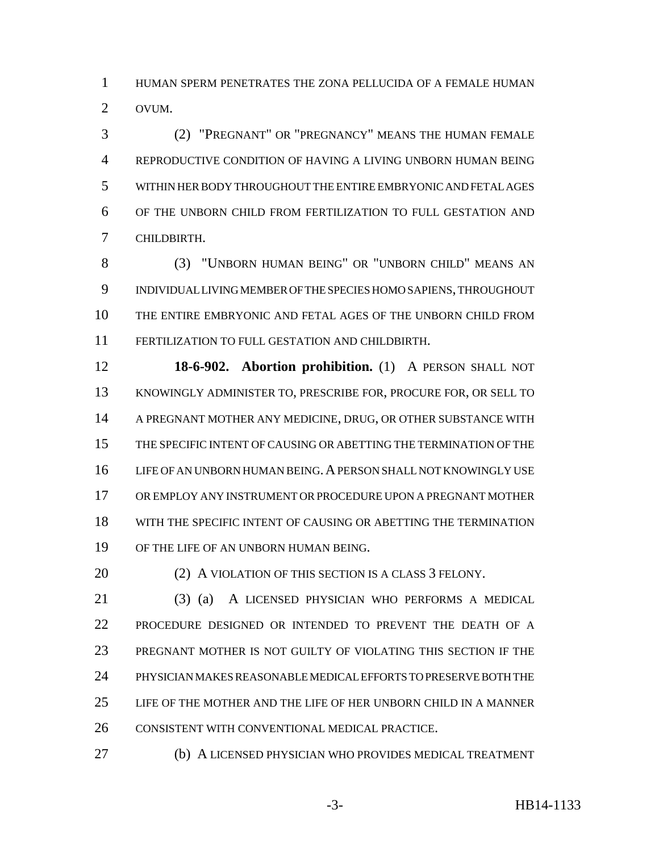HUMAN SPERM PENETRATES THE ZONA PELLUCIDA OF A FEMALE HUMAN OVUM.

 (2) "PREGNANT" OR "PREGNANCY" MEANS THE HUMAN FEMALE REPRODUCTIVE CONDITION OF HAVING A LIVING UNBORN HUMAN BEING WITHIN HER BODY THROUGHOUT THE ENTIRE EMBRYONIC AND FETAL AGES OF THE UNBORN CHILD FROM FERTILIZATION TO FULL GESTATION AND CHILDBIRTH.

 (3) "UNBORN HUMAN BEING" OR "UNBORN CHILD" MEANS AN INDIVIDUAL LIVING MEMBER OF THE SPECIES HOMO SAPIENS, THROUGHOUT THE ENTIRE EMBRYONIC AND FETAL AGES OF THE UNBORN CHILD FROM FERTILIZATION TO FULL GESTATION AND CHILDBIRTH.

 **18-6-902. Abortion prohibition.** (1) A PERSON SHALL NOT KNOWINGLY ADMINISTER TO, PRESCRIBE FOR, PROCURE FOR, OR SELL TO A PREGNANT MOTHER ANY MEDICINE, DRUG, OR OTHER SUBSTANCE WITH THE SPECIFIC INTENT OF CAUSING OR ABETTING THE TERMINATION OF THE LIFE OF AN UNBORN HUMAN BEING.A PERSON SHALL NOT KNOWINGLY USE OR EMPLOY ANY INSTRUMENT OR PROCEDURE UPON A PREGNANT MOTHER WITH THE SPECIFIC INTENT OF CAUSING OR ABETTING THE TERMINATION OF THE LIFE OF AN UNBORN HUMAN BEING.

20 (2) A VIOLATION OF THIS SECTION IS A CLASS 3 FELONY.

 (3) (a) A LICENSED PHYSICIAN WHO PERFORMS A MEDICAL PROCEDURE DESIGNED OR INTENDED TO PREVENT THE DEATH OF A PREGNANT MOTHER IS NOT GUILTY OF VIOLATING THIS SECTION IF THE PHYSICIAN MAKES REASONABLE MEDICAL EFFORTS TO PRESERVE BOTH THE LIFE OF THE MOTHER AND THE LIFE OF HER UNBORN CHILD IN A MANNER CONSISTENT WITH CONVENTIONAL MEDICAL PRACTICE.

(b) A LICENSED PHYSICIAN WHO PROVIDES MEDICAL TREATMENT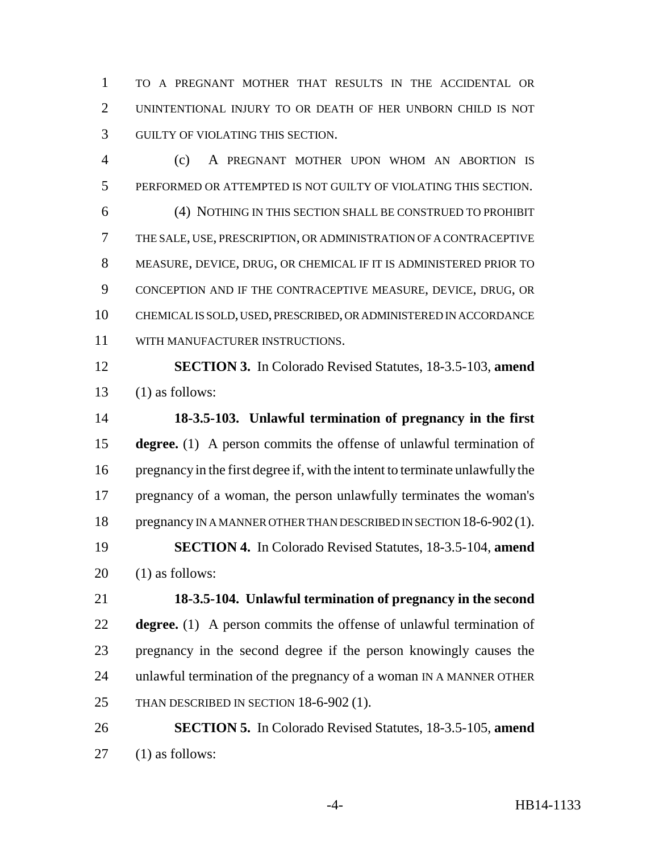TO A PREGNANT MOTHER THAT RESULTS IN THE ACCIDENTAL OR UNINTENTIONAL INJURY TO OR DEATH OF HER UNBORN CHILD IS NOT GUILTY OF VIOLATING THIS SECTION.

 (c) A PREGNANT MOTHER UPON WHOM AN ABORTION IS PERFORMED OR ATTEMPTED IS NOT GUILTY OF VIOLATING THIS SECTION. (4) NOTHING IN THIS SECTION SHALL BE CONSTRUED TO PROHIBIT THE SALE, USE, PRESCRIPTION, OR ADMINISTRATION OF A CONTRACEPTIVE MEASURE, DEVICE, DRUG, OR CHEMICAL IF IT IS ADMINISTERED PRIOR TO CONCEPTION AND IF THE CONTRACEPTIVE MEASURE, DEVICE, DRUG, OR CHEMICAL IS SOLD, USED, PRESCRIBED, OR ADMINISTERED IN ACCORDANCE WITH MANUFACTURER INSTRUCTIONS.

 **SECTION 3.** In Colorado Revised Statutes, 18-3.5-103, **amend** (1) as follows:

 **18-3.5-103. Unlawful termination of pregnancy in the first degree.** (1) A person commits the offense of unlawful termination of pregnancy in the first degree if, with the intent to terminate unlawfully the pregnancy of a woman, the person unlawfully terminates the woman's 18 pregnancy IN A MANNER OTHER THAN DESCRIBED IN SECTION 18-6-902(1). **SECTION 4.** In Colorado Revised Statutes, 18-3.5-104, **amend** (1) as follows:

 **18-3.5-104. Unlawful termination of pregnancy in the second degree.** (1) A person commits the offense of unlawful termination of pregnancy in the second degree if the person knowingly causes the unlawful termination of the pregnancy of a woman IN A MANNER OTHER 25 THAN DESCRIBED IN SECTION 18-6-902 (1).

 **SECTION 5.** In Colorado Revised Statutes, 18-3.5-105, **amend** (1) as follows: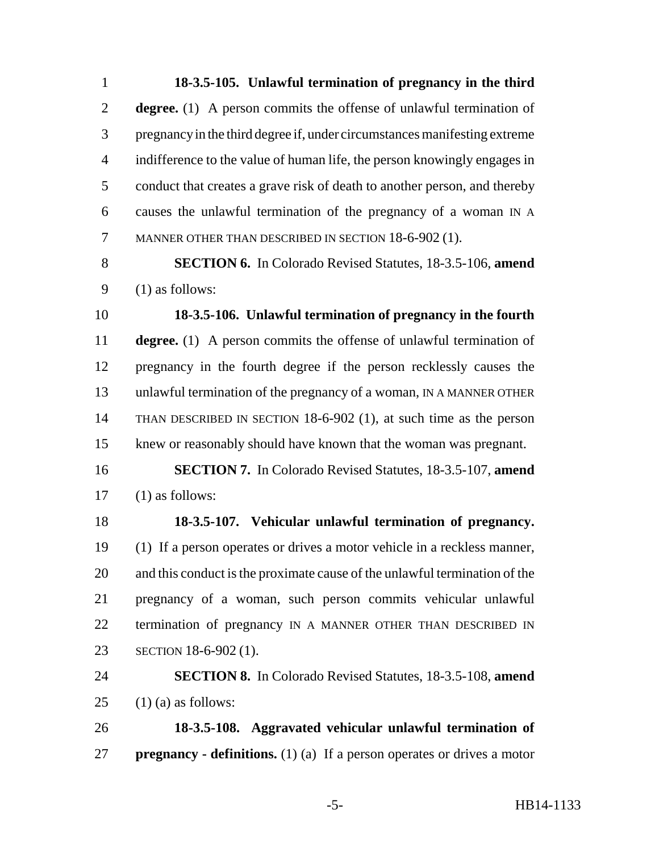**18-3.5-105. Unlawful termination of pregnancy in the third degree.** (1) A person commits the offense of unlawful termination of pregnancy in the third degree if, under circumstances manifesting extreme indifference to the value of human life, the person knowingly engages in conduct that creates a grave risk of death to another person, and thereby causes the unlawful termination of the pregnancy of a woman IN A MANNER OTHER THAN DESCRIBED IN SECTION 18-6-902 (1).

 **SECTION 6.** In Colorado Revised Statutes, 18-3.5-106, **amend** (1) as follows:

 **18-3.5-106. Unlawful termination of pregnancy in the fourth degree.** (1) A person commits the offense of unlawful termination of pregnancy in the fourth degree if the person recklessly causes the unlawful termination of the pregnancy of a woman, IN A MANNER OTHER THAN DESCRIBED IN SECTION 18-6-902 (1), at such time as the person knew or reasonably should have known that the woman was pregnant.

 **SECTION 7.** In Colorado Revised Statutes, 18-3.5-107, **amend** (1) as follows:

 **18-3.5-107. Vehicular unlawful termination of pregnancy.** (1) If a person operates or drives a motor vehicle in a reckless manner, and this conduct is the proximate cause of the unlawful termination of the pregnancy of a woman, such person commits vehicular unlawful 22 termination of pregnancy IN A MANNER OTHER THAN DESCRIBED IN SECTION 18-6-902 (1).

 **SECTION 8.** In Colorado Revised Statutes, 18-3.5-108, **amend** 25  $(1)$  (a) as follows:

 **18-3.5-108. Aggravated vehicular unlawful termination of pregnancy - definitions.** (1) (a) If a person operates or drives a motor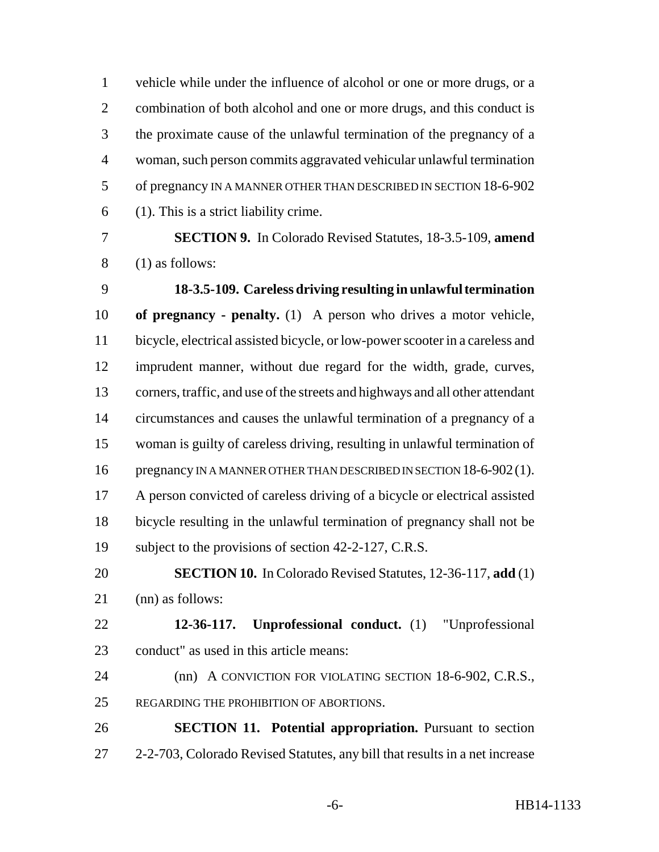vehicle while under the influence of alcohol or one or more drugs, or a 2 combination of both alcohol and one or more drugs, and this conduct is the proximate cause of the unlawful termination of the pregnancy of a woman, such person commits aggravated vehicular unlawful termination of pregnancy IN A MANNER OTHER THAN DESCRIBED IN SECTION 18-6-902 (1). This is a strict liability crime.

 **SECTION 9.** In Colorado Revised Statutes, 18-3.5-109, **amend** (1) as follows:

 **18-3.5-109. Careless driving resulting in unlawful termination of pregnancy - penalty.** (1) A person who drives a motor vehicle, bicycle, electrical assisted bicycle, or low-power scooter in a careless and imprudent manner, without due regard for the width, grade, curves, corners, traffic, and use of the streets and highways and all other attendant circumstances and causes the unlawful termination of a pregnancy of a woman is guilty of careless driving, resulting in unlawful termination of 16 pregnancy IN A MANNER OTHER THAN DESCRIBED IN SECTION 18-6-902(1). A person convicted of careless driving of a bicycle or electrical assisted bicycle resulting in the unlawful termination of pregnancy shall not be subject to the provisions of section 42-2-127, C.R.S.

 **SECTION 10.** In Colorado Revised Statutes, 12-36-117, **add** (1) (nn) as follows:

 **12-36-117. Unprofessional conduct.** (1) "Unprofessional conduct" as used in this article means:

 (nn) A CONVICTION FOR VIOLATING SECTION 18-6-902, C.R.S., 25 REGARDING THE PROHIBITION OF ABORTIONS.

 **SECTION 11. Potential appropriation.** Pursuant to section 2-2-703, Colorado Revised Statutes, any bill that results in a net increase